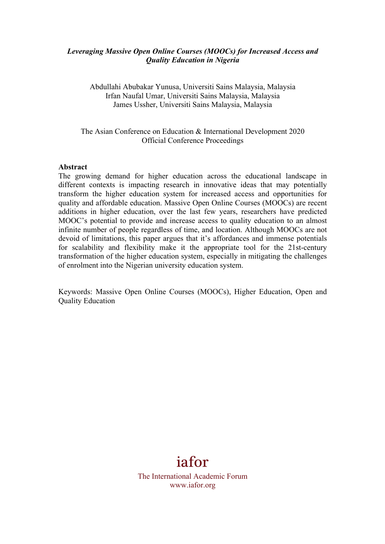## *Leveraging Massive Open Online Courses (MOOCs) for Increased Access and Quality Education in Nigeria*

Abdullahi Abubakar Yunusa, Universiti Sains Malaysia, Malaysia Irfan Naufal Umar, Universiti Sains Malaysia, Malaysia James Ussher, Universiti Sains Malaysia, Malaysia

### The Asian Conference on Education & International Development 2020 Official Conference Proceedings

#### **Abstract**

The growing demand for higher education across the educational landscape in different contexts is impacting research in innovative ideas that may potentially transform the higher education system for increased access and opportunities for quality and affordable education. Massive Open Online Courses (MOOCs) are recent additions in higher education, over the last few years, researchers have predicted MOOC's potential to provide and increase access to quality education to an almost infinite number of people regardless of time, and location. Although MOOCs are not devoid of limitations, this paper argues that it's affordances and immense potentials for scalability and flexibility make it the appropriate tool for the 21st-century transformation of the higher education system, especially in mitigating the challenges of enrolment into the Nigerian university education system.

Keywords: Massive Open Online Courses (MOOCs), Higher Education, Open and Quality Education

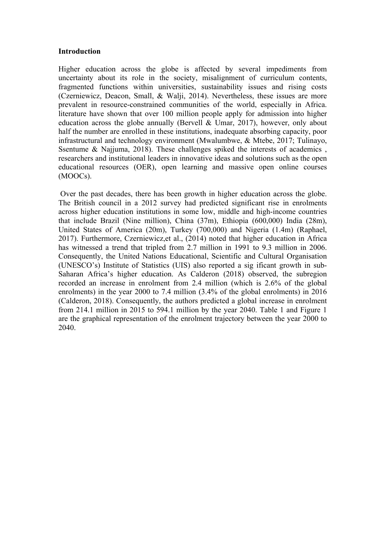#### **Introduction**

Higher education across the globe is affected by several impediments from uncertainty about its role in the society, misalignment of curriculum contents, fragmented functions within universities, sustainability issues and rising costs (Czerniewicz, Deacon, Small, & Walji, 2014). Nevertheless, these issues are more prevalent in resource-constrained communities of the world, especially in Africa. literature have shown that over 100 million people apply for admission into higher education across the globe annually (Bervell & Umar, 2017), however, only about half the number are enrolled in these institutions, inadequate absorbing capacity, poor infrastructural and technology environment (Mwalumbwe, & Mtebe, 2017; Tulinayo, Ssentume & Najjuma, 2018). These challenges spiked the interests of academics , researchers and institutional leaders in innovative ideas and solutions such as the open educational resources (OER), open learning and massive open online courses (MOOCs).

Over the past decades, there has been growth in higher education across the globe. The British council in a 2012 survey had predicted significant rise in enrolments across higher education institutions in some low, middle and high-income countries that include Brazil (Nine million), China (37m), Ethiopia (600,000) India (28m), United States of America (20m), Turkey (700,000) and Nigeria (1.4m) (Raphael, 2017). Furthermore, Czerniewicz,et al., (2014) noted that higher education in Africa has witnessed a trend that tripled from 2.7 million in 1991 to 9.3 million in 2006. Consequently, the United Nations Educational, Scientific and Cultural Organisation (UNESCO's) Institute of Statistics (UIS) also reported a sig ificant growth in sub-Saharan Africa's higher education. As Calderon (2018) observed, the subregion recorded an increase in enrolment from 2.4 million (which is 2.6% of the global enrolments) in the year 2000 to 7.4 million (3.4% of the global enrolments) in 2016 (Calderon, 2018). Consequently, the authors predicted a global increase in enrolment from 214.1 million in 2015 to 594.1 million by the year 2040. Table 1 and Figure 1 are the graphical representation of the enrolment trajectory between the year 2000 to 2040.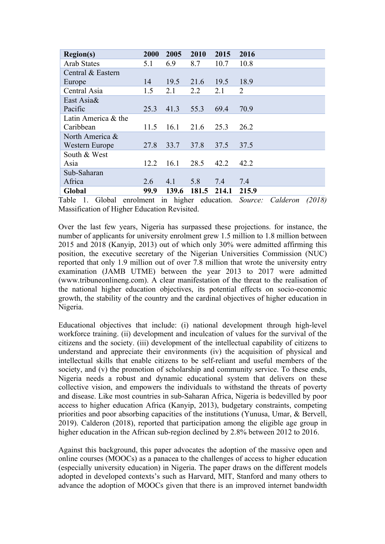| <b>Region(s)</b>    | 2000 | 2005  | 2010  | 2015  | 2016           |
|---------------------|------|-------|-------|-------|----------------|
| <b>Arab States</b>  | 5.1  | 6.9   | 8.7   | 10.7  | 10.8           |
| Central & Eastern   |      |       |       |       |                |
| Europe              | 14   | 19.5  | 21.6  | 19.5  | 18.9           |
| Central Asia        | 1.5  | 2.1   | 2.2   | 2.1   | $\overline{2}$ |
| East Asia&          |      |       |       |       |                |
| Pacific             | 25.3 | 41.3  | 55.3  | 69.4  | 70.9           |
| Latin America & the |      |       |       |       |                |
| Caribbean           | 11.5 | 16.1  | 21.6  | 25.3  | 26.2           |
| North America &     |      |       |       |       |                |
| Western Europe      | 27.8 | 33.7  | 37.8  | 37.5  | 37.5           |
| South & West        |      |       |       |       |                |
| Asia                | 12.2 | 16.1  | 28.5  | 42.2  | 42.2           |
| Sub-Saharan         |      |       |       |       |                |
| Africa              | 2.6  | 4.1   | 5.8   | 7.4   | 7.4            |
| Global              | 99.9 | 139.6 | 181.5 | 214.1 | 215.9          |

Table 1. Global enrolment in higher education. *Source: Calderon (2018)*  Massification of Higher Education Revisited.

Over the last few years, Nigeria has surpassed these projections. for instance, the number of applicants for university enrolment grew 1.5 million to 1.8 million between 2015 and 2018 (Kanyip, 2013) out of which only 30% were admitted affirming this position, the executive secretary of the Nigerian Universities Commission (NUC) reported that only 1.9 million out of over 7.8 million that wrote the university entry examination (JAMB UTME) between the year 2013 to 2017 were admitted (www.tribuneonlineng.com). A clear manifestation of the threat to the realisation of the national higher education objectives, its potential effects on socio-economic growth, the stability of the country and the cardinal objectives of higher education in Nigeria.

Educational objectives that include: (i) national development through high-level workforce training. (ii) development and inculcation of values for the survival of the citizens and the society. (iii) development of the intellectual capability of citizens to understand and appreciate their environments (iv) the acquisition of physical and intellectual skills that enable citizens to be self-reliant and useful members of the society, and (v) the promotion of scholarship and community service. To these ends, Nigeria needs a robust and dynamic educational system that delivers on these collective vision, and empowers the individuals to withstand the threats of poverty and disease. Like most countries in sub-Saharan Africa, Nigeria is bedevilled by poor access to higher education Africa (Kanyip, 2013), budgetary constraints, competing priorities and poor absorbing capacities of the institutions (Yunusa, Umar, & Bervell, 2019). Calderon (2018), reported that participation among the eligible age group in higher education in the African sub-region declined by 2.8% between 2012 to 2016.

Against this background, this paper advocates the adoption of the massive open and online courses (MOOCs) as a panacea to the challenges of access to higher education (especially university education) in Nigeria. The paper draws on the different models adopted in developed contexts's such as Harvard, MIT, Stanford and many others to advance the adoption of MOOCs given that there is an improved internet bandwidth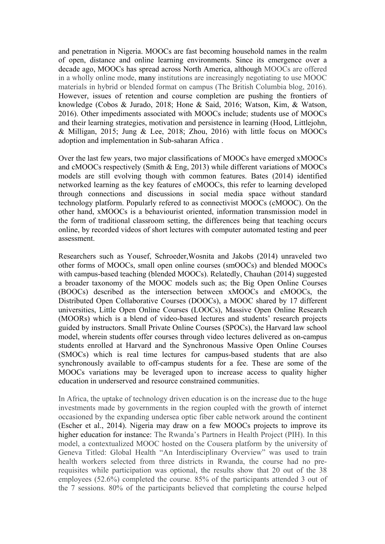and penetration in Nigeria. MOOCs are fast becoming household names in the realm of open, distance and online learning environments. Since its emergence over a decade ago, MOOCs has spread across North America, although MOOCs are offered in a wholly online mode, many institutions are increasingly negotiating to use MOOC materials in hybrid or blended format on campus (The British Columbia blog, 2016). However, issues of retention and course completion are pushing the frontiers of knowledge (Cobos & Jurado, 2018; Hone & Said, 2016; Watson, Kim, & Watson, 2016). Other impediments associated with MOOCs include; students use of MOOCs and their learning strategies, motivation and persistence in learning (Hood, Littlejohn, & Milligan, 2015; Jung & Lee, 2018; Zhou, 2016) with little focus on MOOCs adoption and implementation in Sub-saharan Africa .

Over the last few years, two major classifications of MOOCs have emerged xMOOCs and cMOOCs respectively (Smith & Eng, 2013) while different variations of MOOCs models are still evolving though with common features. Bates (2014) identified networked learning as the key features of cMOOCs, this refer to learning developed through connections and discussions in social media space without standard technology platform. Popularly refered to as connectivist MOOCs (cMOOC). On the other hand, xMOOCs is a behaviourist oriented, information transmission model in the form of traditional classroom setting, the differences being that teaching occurs online, by recorded videos of short lectures with computer automated testing and peer assessment.

Researchers such as Yousef, Schroeder,Wosnita and Jakobs (2014) unraveled two other forms of MOOCs, small open online courses (smOOCs) and blended MOOCs with campus-based teaching (blended MOOCs). Relatedly, Chauhan (2014) suggested a broader taxonomy of the MOOC models such as; the Big Open Online Courses (BOOCs) described as the intersection between xMOOCs and cMOOCs, the Distributed Open Collaborative Courses (DOOCs), a MOOC shared by 17 different universities, Little Open Online Courses (LOOCs), Massive Open Online Research (MOORs) which is a blend of video-based lectures and students' research projects guided by instructors. Small Private Online Courses (SPOCs), the Harvard law school model, wherein students offer courses through video lectures delivered as on-campus students enrolled at Harvard and the Synchronous Massive Open Online Courses (SMOCs) which is real time lectures for campus-based students that are also synchronously available to off-campus students for a fee. These are some of the MOOCs variations may be leveraged upon to increase access to quality higher education in underserved and resource constrained communities.

In Africa, the uptake of technology driven education is on the increase due to the huge investments made by governments in the region coupled with the growth of internet occasioned by the expanding undersea optic fiber cable network around the continent (Escher et al., 2014). Nigeria may draw on a few MOOCs projects to improve its higher education for instance: The Rwanda's Partners in Health Project (PIH). In this model, a contextualized MOOC hosted on the Cousera platform by the university of Geneva Titled: Global Health "An Interdisciplinary Overview" was used to train health workers selected from three districts in Rwanda, the course had no prerequisites while participation was optional, the results show that 20 out of the 38 employees (52.6%) completed the course. 85% of the participants attended 3 out of the 7 sessions. 80% of the participants believed that completing the course helped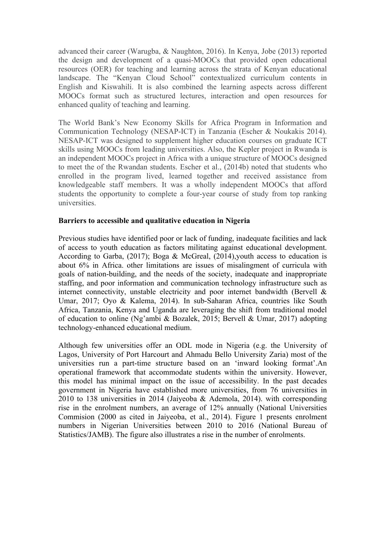advanced their career (Warugba, & Naughton, 2016). In Kenya, Jobe (2013) reported the design and development of a quasi-MOOCs that provided open educational resources (OER) for teaching and learning across the strata of Kenyan educational landscape. The "Kenyan Cloud School" contextualized curriculum contents in English and Kiswahili. It is also combined the learning aspects across different MOOCs format such as structured lectures, interaction and open resources for enhanced quality of teaching and learning.

The World Bank's New Economy Skills for Africa Program in Information and Communication Technology (NESAP-ICT) in Tanzania (Escher & Noukakis 2014). NESAP-ICT was designed to supplement higher education courses on graduate ICT skills using MOOCs from leading universities. Also, the Kepler project in Rwanda is an independent MOOCs project in Africa with a unique structure of MOOCs designed to meet the of the Rwandan students. Escher et al., (2014b) noted that students who enrolled in the program lived, learned together and received assistance from knowledgeable staff members. It was a wholly independent MOOCs that afford students the opportunity to complete a four-year course of study from top ranking universities.

### **Barriers to accessible and qualitative education in Nigeria**

Previous studies have identified poor or lack of funding, inadequate facilities and lack of access to youth education as factors militating against educational development. According to Garba, (2017); Boga & McGreal, (2014),youth access to education is about 6% in Africa. other limitations are issues of misalingment of curricula with goals of nation-building, and the needs of the society, inadequate and inappropriate staffing, and poor information and communication technology infrastructure such as internet connectivity, unstable electricity and poor internet bandwidth (Bervell & Umar, 2017; Oyo & Kalema, 2014). In sub-Saharan Africa, countries like South Africa, Tanzania, Kenya and Uganda are leveraging the shift from traditional model of education to online (Ng'ambi & Bozalek, 2015; Bervell & Umar, 2017) adopting technology-enhanced educational medium.

Although few universities offer an ODL mode in Nigeria (e.g. the University of Lagos, University of Port Harcourt and Ahmadu Bello University Zaria) most of the universities run a part-time structure based on an 'inward looking format'.An operational framework that accommodate students within the university. However, this model has minimal impact on the issue of accessibility. In the past decades government in Nigeria have established more universities, from 76 universities in 2010 to 138 universities in 2014 (Jaiyeoba & Ademola, 2014). with corresponding rise in the enrolment numbers, an average of 12% annually (National Universities Commision (2000 as cited in Jaiyeoba, et al., 2014). Figure 1 presents enrolment numbers in Nigerian Universities between 2010 to 2016 (National Bureau of Statistics/JAMB). The figure also illustrates a rise in the number of enrolments.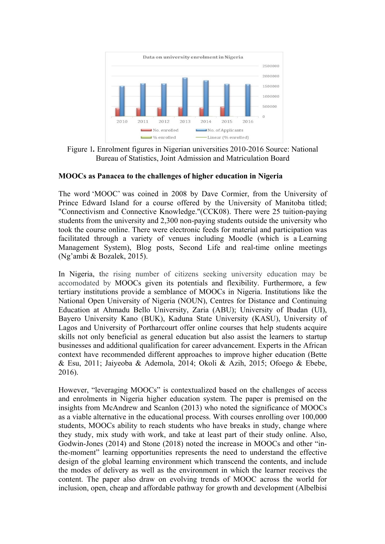

Figure 1*.* Enrolment figures in Nigerian universities 2010-2016 Source: National Bureau of Statistics, Joint Admission and Matriculation Board

### **MOOCs as Panacea to the challenges of higher education in Nigeria**

The word 'MOOC' was coined in 2008 by Dave Cormier, from the University of Prince Edward Island for a course offered by the University of Manitoba titled; "Connectivism and Connective Knowledge."(CCK08). There were 25 tuition-paying students from the university and 2,300 non-paying students outside the university who took the course online. There were electronic feeds for material and participation was facilitated through a variety of venues including Moodle (which is a Learning Management System), Blog posts, Second Life and real-time online meetings (Ng'ambi & Bozalek, 2015).

In Nigeria, the rising number of citizens seeking university education may be accomodated by MOOCs given its potentials and flexibility. Furthermore, a few tertiary institutions provide a semblance of MOOCs in Nigeria. Institutions like the National Open University of Nigeria (NOUN), Centres for Distance and Continuing Education at Ahmadu Bello University, Zaria (ABU); University of Ibadan (UI), Bayero University Kano (BUK), Kaduna State University (KASU), University of Lagos and University of Portharcourt offer online courses that help students acquire skills not only beneficial as general education but also assist the learners to startup businesses and additional qualification for career advancement. Experts in the African context have recommended different approaches to improve higher education (Bette & Esu, 2011; Jaiyeoba & Ademola, 2014; Okoli & Azih, 2015; Ofoego & Ebebe, 2016).

However, "leveraging MOOCs" is contextualized based on the challenges of access and enrolments in Nigeria higher education system. The paper is premised on the insights from McAndrew and Scanlon (2013) who noted the significance of MOOCs as a viable alternative in the educational process. With courses enrolling over 100,000 students, MOOCs ability to reach students who have breaks in study, change where they study, mix study with work, and take at least part of their study online. Also, Godwin-Jones (2014) and Stone (2018) noted the increase in MOOCs and other "inthe-moment" learning opportunities represents the need to understand the effective design of the global learning environment which transcend the contents, and include the modes of delivery as well as the environment in which the learner receives the content. The paper also draw on evolving trends of MOOC across the world for inclusion, open, cheap and affordable pathway for growth and development (Albelbisi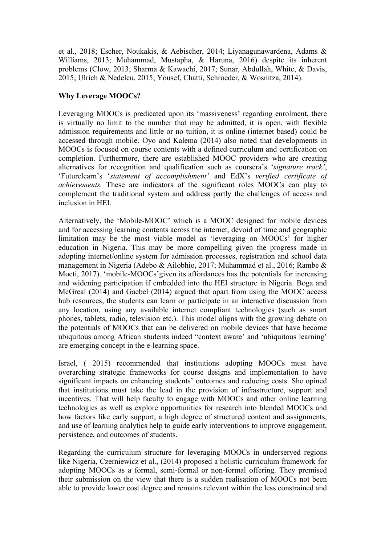et al., 2018; Escher, Noukakis, & Aebischer, 2014; Liyanagunawardena, Adams & Williams, 2013; Muhammad, Mustapha, & Haruna, 2016) despite its inherent problems (Clow, 2013; Sharma & Kawachi, 2017; Sunar, Abdullah, White, & Davis, 2015; Ulrich & Nedelcu, 2015; Yousef, Chatti, Schroeder, & Wosnitza, 2014).

# **Why Leverage MOOCs?**

Leveraging MOOCs is predicated upon its 'massiveness' regarding enrolment, there is virtually no limit to the number that may be admitted, it is open, with flexible admission requirements and little or no tuition, it is online (internet based) could be accessed through mobile. Oyo and Kalema (2014) also noted that developments in MOOCs is focused on course contents with a defined curriculum and certification on completion. Furthermore, there are established MOOC providers who are creating alternatives for recognition and qualification such as coursera's '*signature track'*, 'Futurelearn's '*statement of accomplishment'* and EdX's *verified certificate of achievements.* These are indicators of the significant roles MOOCs can play to complement the traditional system and address partly the challenges of access and inclusion in HEI.

Alternatively, the 'Mobile-MOOC' which is a MOOC designed for mobile devices and for accessing learning contents across the internet, devoid of time and geographic limitation may be the most viable model as 'leveraging on MOOCs' for higher education in Nigeria. This may be more compelling given the progress made in adopting internet/online system for admission processes, registration and school data management in Nigeria (Adebo & Ailobhio, 2017; Muhammad et al., 2016; Rambe & Moeti, 2017). 'mobile-MOOCs'given its affordances has the potentials for increasing and widening participation if embedded into the HEI structure in Nigeria. Boga and McGreal (2014) and Gaebel (2014) argued that apart from using the MOOC access hub resources, the students can learn or participate in an interactive discussion from any location, using any available internet compliant technologies (such as smart phones, tablets, radio, television etc.). This model aligns with the growing debate on the potentials of MOOCs that can be delivered on mobile devices that have become ubiquitous among African students indeed "context aware' and 'ubiquitous learning' are emerging concept in the e-learning space.

Israel, ( 2015) recommended that institutions adopting MOOCs must have overarching strategic frameworks for course designs and implementation to have significant impacts on enhancing students' outcomes and reducing costs. She opined that institutions must take the lead in the provision of infrastructure, support and incentives. That will help faculty to engage with MOOCs and other online learning technologies as well as explore opportunities for research into blended MOOCs and how factors like early support, a high degree of structured content and assignments, and use of learning analytics help to guide early interventions to improve engagement, persistence, and outcomes of students.

Regarding the curriculum structure for leveraging MOOCs in underserved regions like Nigeria, Czerniewicz et al., (2014) proposed a holistic curriculum framework for adopting MOOCs as a formal, semi-formal or non-formal offering. They premised their submission on the view that there is a sudden realisation of MOOCs not been able to provide lower cost degree and remains relevant within the less constrained and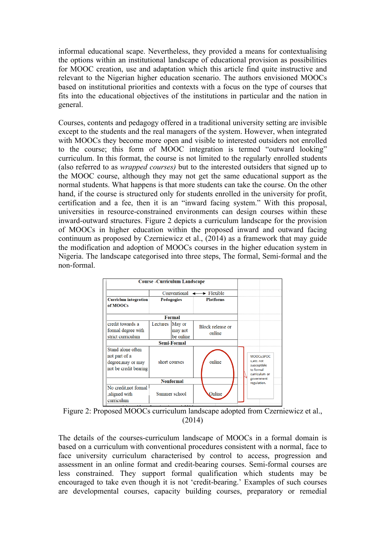informal educational scape. Nevertheless, they provided a means for contextualising the options within an institutional landscape of educational provision as possibilities for MOOC creation, use and adaptation which this article find quite instructive and relevant to the Nigerian higher education scenario. The authors envisioned MOOCs based on institutional priorities and contexts with a focus on the type of courses that fits into the educational objectives of the institutions in particular and the nation in general.

Courses, contents and pedagogy offered in a traditional university setting are invisible except to the students and the real managers of the system. However, when integrated with MOOCs they become more open and visible to interested outsiders not enrolled to the course; this form of MOOC integration is termed "outward looking" curriculum. In this format, the course is not limited to the regularly enrolled students (also referred to as *wrapped courses)* but to the interested outsiders that signed up to the MOOC course, although they may not get the same educational support as the normal students. What happens is that more students can take the course. On the other hand, if the course is structured only for students enrolled in the university for profit, certification and a fee, then it is an "inward facing system." With this proposal, universities in resource-constrained environments can design courses within these inward-outward structures. Figure 2 depicts a curriculum landscape for the provision of MOOCs in higher education within the proposed inward and outward facing continuum as proposed by Czerniewicz et al., (2014) as a framework that may guide the modification and adoption of MOOCs courses in the higher education system in Nigeria. The landscape categorised into three steps, The formal, Semi-formal and the non-formal.

|                                                                                   |                           | <b>Course - Curriculum Landscape</b> |                  |                                   |                                                                        |
|-----------------------------------------------------------------------------------|---------------------------|--------------------------------------|------------------|-----------------------------------|------------------------------------------------------------------------|
|                                                                                   |                           |                                      |                  |                                   |                                                                        |
| <b>Curriclum integration</b><br>of MOOCs                                          | <b>Pedagogies</b>         |                                      | <b>Platforms</b> |                                   |                                                                        |
|                                                                                   |                           |                                      |                  |                                   |                                                                        |
| credit towards a<br>formal degree with<br>strict curriculum                       | Lectures                  | May or<br>may not<br>be online       |                  | <b>Block release or</b><br>online |                                                                        |
|                                                                                   |                           |                                      |                  |                                   |                                                                        |
| Stand alone often<br>not part of a<br>degree, may or may<br>not be credit bearing | short courses             |                                      | online           |                                   | MOOCs, SPOC<br>s.etc. not<br>susceptible<br>to formal<br>curriculum or |
|                                                                                   | government<br>regulation. |                                      |                  |                                   |                                                                        |
| No credit, not formal<br>aligned with<br>curriculum                               |                           | Summer school                        |                  | Online                            |                                                                        |

Figure 2: Proposed MOOCs curriculum landscape adopted from Czerniewicz et al., (2014)

The details of the courses-curriculum landscape of MOOCs in a formal domain is based on a curriculum with conventional procedures consistent with a normal, face to face university curriculum characterised by control to access, progression and assessment in an online format and credit-bearing courses. Semi-formal courses are less constrained. They support formal qualification which students may be encouraged to take even though it is not 'credit-bearing.' Examples of such courses are developmental courses, capacity building courses, preparatory or remedial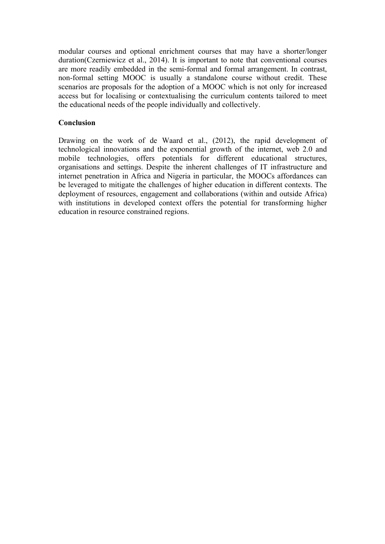modular courses and optional enrichment courses that may have a shorter/longer duration(Czerniewicz et al., 2014). It is important to note that conventional courses are more readily embedded in the semi-formal and formal arrangement. In contrast, non-formal setting MOOC is usually a standalone course without credit. These scenarios are proposals for the adoption of a MOOC which is not only for increased access but for localising or contextualising the curriculum contents tailored to meet the educational needs of the people individually and collectively.

## **Conclusion**

Drawing on the work of de Waard et al., (2012), the rapid development of technological innovations and the exponential growth of the internet, web 2.0 and mobile technologies, offers potentials for different educational structures, organisations and settings. Despite the inherent challenges of IT infrastructure and internet penetration in Africa and Nigeria in particular, the MOOCs affordances can be leveraged to mitigate the challenges of higher education in different contexts. The deployment of resources, engagement and collaborations (within and outside Africa) with institutions in developed context offers the potential for transforming higher education in resource constrained regions.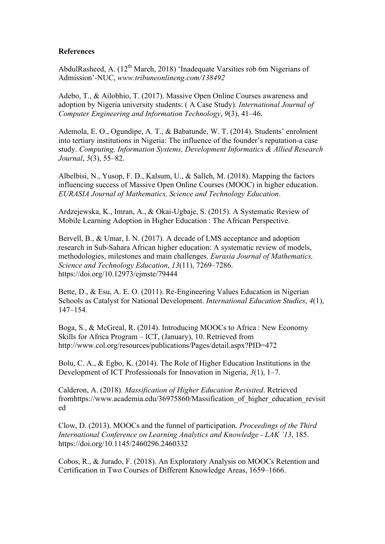### **References**

AbdulRasheed, A.  $(12^{th}$  March, 2018) 'Inadequate Varsities rob 6m Nigerians of Admission'-NUC, *www.tribuneonlineng.com/138492*

Adebo, T., & Ailobhio, T. (2017). Massive Open Online Courses awareness and adoption by Nigeria university students: ( A Case Study). *International Journal of Computer Engineering and Information Technology*, *9*(3), 41–46.

Ademola, E. O., Ogundipe, A. T., & Babatunde, W. T. (2014). Students' enrolment into tertiary institutions in Nigeria: The influence of the founder's reputation-a case study. *Computing, Information Systems, Development Informatics & Allied Research Journal*, *5*(3), 55–82.

Albelbisi, N., Yusop, F. D., Kalsum, U., & Salleh, M. (2018). Mapping the factors influencing success of Massive Open Online Courses (MOOC) in higher education. *EURASIA Journal of Mathematics, Science and Technology Education*.

Ardzejewska, K., Imran, A., & Okai-Ugbaje, S. (2015). A Systematic Review of Mobile Learning Adoption in Higher Education : The African Perspective.

Bervell, B., & Umar, I. N. (2017). A decade of LMS acceptance and adoption research in Sub-Sahara African higher education: A systematic review of models, methodologies, milestones and main challenges. *Eurasia Journal of Mathematics, Science and Technology Education*, *13*(11), 7269–7286. https://doi.org/10.12973/ejmste/79444

Bette, D., & Esu, A. E. O. (2011). Re-Engineering Values Education in Nigerian Schools as Catalyst for National Development. *International Education Studies*, *4*(1), 147–154.

Boga, S., & McGreal, R. (2014). Introducing MOOCs to Africa : New Economy Skills for Africa Program – ICT, (January), 10. Retrieved from http://www.col.org/resources/publications/Pages/detail.aspx?PID=472

Bolu, C. A., & Egbo, K. (2014). The Role of Higher Education Institutions in the Development of ICT Professionals for Innovation in Nigeria, *3*(1), 1–7.

Calderon, A. (2018). *Massification of Higher Education Revisited*. Retrieved fromhttps://www.academia.edu/36975860/Massification\_of\_higher\_education\_revisit ed

Clow, D. (2013). MOOCs and the funnel of participation. *Proceedings of the Third International Conference on Learning Analytics and Knowledge - LAK '13*, 185. https://doi.org/10.1145/2460296.2460332

Cobos, R., & Jurado, F. (2018). An Exploratory Analysis on MOOCs Retention and Certification in Two Courses of Different Knowledge Areas, 1659–1666.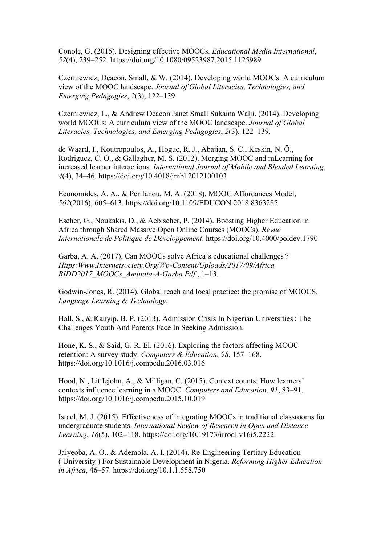Conole, G. (2015). Designing effective MOOCs. *Educational Media International*, *52*(4), 239–252. https://doi.org/10.1080/09523987.2015.1125989

Czerniewicz, Deacon, Small, & W. (2014). Developing world MOOCs: A curriculum view of the MOOC landscape. *Journal of Global Literacies, Technologies, and Emerging Pedagogies*, *2*(3), 122–139.

Czerniewicz, L., & Andrew Deacon Janet Small Sukaina Walji. (2014). Developing world MOOCs: A curriculum view of the MOOC landscape. *Journal of Global Literacies, Technologies, and Emerging Pedagogies*, *2*(3), 122–139.

de Waard, I., Koutropoulos, A., Hogue, R. J., Abajian, S. C., Keskin, N. Ö., Rodriguez, C. O., & Gallagher, M. S. (2012). Merging MOOC and mLearning for increased learner interactions. *International Journal of Mobile and Blended Learning*, *4*(4), 34–46. https://doi.org/10.4018/jmbl.2012100103

Economides, A. A., & Perifanou, M. A. (2018). MOOC Affordances Model, *562*(2016), 605–613. https://doi.org/10.1109/EDUCON.2018.8363285

Escher, G., Noukakis, D., & Aebischer, P. (2014). Boosting Higher Education in Africa through Shared Massive Open Online Courses (MOOCs). *Revue Internationale de Politique de Développement*. https://doi.org/10.4000/poldev.1790

Garba, A. A. (2017). Can MOOCs solve Africa's educational challenges ? *Https:Www.Internetsociety.Org/Wp-Content/Uploads/2017/09/Africa RIDD2017\_MOOCs\_Aminata-A-Garba.Pdf.*, 1–13.

Godwin-Jones, R. (2014). Global reach and local practice: the promise of MOOCS. *Language Learning & Technology*.

Hall, S., & Kanyip, B. P. (2013). Admission Crisis In Nigerian Universities : The Challenges Youth And Parents Face In Seeking Admission.

Hone, K. S., & Said, G. R. El. (2016). Exploring the factors affecting MOOC retention: A survey study. *Computers & Education*, *98*, 157–168. https://doi.org/10.1016/j.compedu.2016.03.016

Hood, N., Littlejohn, A., & Milligan, C. (2015). Context counts: How learners' contexts influence learning in a MOOC. *Computers and Education*, *91*, 83–91. https://doi.org/10.1016/j.compedu.2015.10.019

Israel, M. J. (2015). Effectiveness of integrating MOOCs in traditional classrooms for undergraduate students. *International Review of Research in Open and Distance Learning*, *16*(5), 102–118. https://doi.org/10.19173/irrodl.v16i5.2222

Jaiyeoba, A. O., & Ademola, A. I. (2014). Re-Engineering Tertiary Education ( University ) For Sustainable Development in Nigeria. *Reforming Higher Education in Africa*, 46–57. https://doi.org/10.1.1.558.750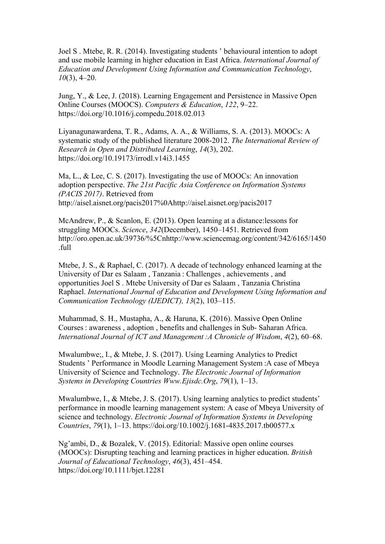Joel S . Mtebe, R. R. (2014). Investigating students ' behavioural intention to adopt and use mobile learning in higher education in East Africa. *International Journal of Education and Development Using Information and Communication Technology*, *10*(3), 4–20.

Jung, Y., & Lee, J. (2018). Learning Engagement and Persistence in Massive Open Online Courses (MOOCS). *Computers & Education*, *122*, 9–22. https://doi.org/10.1016/j.compedu.2018.02.013

Liyanagunawardena, T. R., Adams, A. A., & Williams, S. A. (2013). MOOCs: A systematic study of the published literature 2008-2012. *The International Review of Research in Open and Distributed Learning*, *14*(3), 202. https://doi.org/10.19173/irrodl.v14i3.1455

Ma, L., & Lee, C. S. (2017). Investigating the use of MOOCs: An innovation adoption perspective. *The 21st Pacific Asia Conference on Information Systems (PACIS 2017)*. Retrieved from http://aisel.aisnet.org/pacis2017%0Ahttp://aisel.aisnet.org/pacis2017

McAndrew, P., & Scanlon, E. (2013). Open learning at a distance:lessons for struggling MOOCs. *Science*, *342*(December), 1450–1451. Retrieved from http://oro.open.ac.uk/39736/%5Cnhttp://www.sciencemag.org/content/342/6165/1450 .full

Mtebe, J. S., & Raphael, C. (2017). A decade of technology enhanced learning at the University of Dar es Salaam , Tanzania : Challenges , achievements , and opportunities Joel S . Mtebe University of Dar es Salaam , Tanzania Christina Raphael. *International Journal of Education and Development Using Information and Communication Technology (IJEDICT), 13*(2), 103–115.

Muhammad, S. H., Mustapha, A., & Haruna, K. (2016). Massive Open Online Courses : awareness , adoption , benefits and challenges in Sub- Saharan Africa. *International Journal of ICT and Management :A Chronicle of Wisdom*, *4*(2), 60–68.

Mwalumbwe;, I., & Mtebe, J. S. (2017). Using Learning Analytics to Predict Students ' Performance in Moodle Learning Management System :A case of Mbeya University of Science and Technology. *The Electronic Journal of Information Systems in Developing Countries Www.Ejisdc.Org*, *79*(1), 1–13.

Mwalumbwe, I., & Mtebe, J. S. (2017). Using learning analytics to predict students' performance in moodle learning management system: A case of Mbeya University of science and technology. *Electronic Journal of Information Systems in Developing Countries*, *79*(1), 1–13. https://doi.org/10.1002/j.1681-4835.2017.tb00577.x

Ng'ambi, D., & Bozalek, V. (2015). Editorial: Massive open online courses (MOOCs): Disrupting teaching and learning practices in higher education. *British Journal of Educational Technology*, *46*(3), 451–454. https://doi.org/10.1111/bjet.12281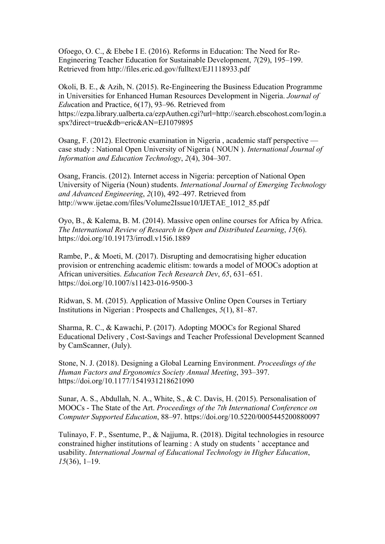Ofoego, O. C., & Ebebe I E. (2016). Reforms in Education: The Need for Re-Engineering Teacher Education for Sustainable Development, *7*(29), 195–199. Retrieved from http://files.eric.ed.gov/fulltext/EJ1118933.pdf

Okoli, B. E., & Azih, N. (2015). Re-Engineering the Business Education Programme in Universities for Enhanced Human Resources Development in Nigeria. *Journal of Edu*cation and Practice, 6(17), 93–96. Retrieved from https://ezpa.library.ualberta.ca/ezpAuthen.cgi?url=http://search.ebscohost.com/login.a spx?direct=true&db=eric&AN=EJ1079895

Osang, F. (2012). Electronic examination in Nigeria , academic staff perspective case study : National Open University of Nigeria ( NOUN ). *International Journal of Information and Education Technology*, *2*(4), 304–307.

Osang, Francis. (2012). Internet access in Nigeria: perception of National Open University of Nigeria (Noun) students. *International Journal of Emerging Technology and Advanced Engineering*, *2*(10), 492–497. Retrieved from http://www.ijetae.com/files/Volume2Issue10/IJETAE\_1012\_85.pdf

Oyo, B., & Kalema, B. M. (2014). Massive open online courses for Africa by Africa. *The International Review of Research in Open and Distributed Learning*, *15*(6). https://doi.org/10.19173/irrodl.v15i6.1889

Rambe, P., & Moeti, M. (2017). Disrupting and democratising higher education provision or entrenching academic elitism: towards a model of MOOCs adoption at African universities. *Education Tech Research Dev*, *65*, 631–651. https://doi.org/10.1007/s11423-016-9500-3

Ridwan, S. M. (2015). Application of Massive Online Open Courses in Tertiary Institutions in Nigerian : Prospects and Challenges, *5*(1), 81–87.

Sharma, R. C., & Kawachi, P. (2017). Adopting MOOCs for Regional Shared Educational Delivery , Cost-Savings and Teacher Professional Development Scanned by CamScanner, (July).

Stone, N. J. (2018). Designing a Global Learning Environment. *Proceedings of the Human Factors and Ergonomics Society Annual Meeting*, 393–397. https://doi.org/10.1177/1541931218621090

Sunar, A. S., Abdullah, N. A., White, S., & C. Davis, H. (2015). Personalisation of MOOCs - The State of the Art. *Proceedings of the 7th International Conference on Computer Supported Education*, 88–97. https://doi.org/10.5220/0005445200880097

Tulinayo, F. P., Ssentume, P., & Najjuma, R. (2018). Digital technologies in resource constrained higher institutions of learning : A study on students ' acceptance and usability. *International Journal of Educational Technology in Higher Education*, *15*(36), 1–19.